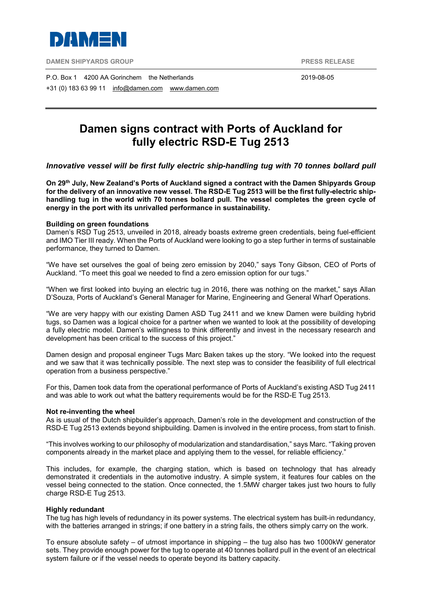

**DAMEN SHIPYARDS GROUP PRESS RELEASE**

P.O. Box 1 4200 AA Gorinchem the Netherlands 2019-08-05 +31 (0) 183 63 99 11 [info@damen.com](mailto:info@damen.com) [www.damen.com](http://www.damen.com/)

# **Damen signs contract with Ports of Auckland for fully electric RSD-E Tug 2513**

## *Innovative vessel will be first fully electric ship-handling tug with 70 tonnes bollard pull*

**On 29th July, New Zealand's Ports of Auckland signed a contract with the Damen Shipyards Group for the delivery of an innovative new vessel. The RSD-E Tug 2513 will be the first fully-electric shiphandling tug in the world with 70 tonnes bollard pull. The vessel completes the green cycle of energy in the port with its unrivalled performance in sustainability.**

### **Building on green foundations**

Damen's RSD Tug 2513, unveiled in 2018, already boasts extreme green credentials, being fuel-efficient and IMO Tier III ready. When the Ports of Auckland were looking to go a step further in terms of sustainable performance, they turned to Damen.

"We have set ourselves the goal of being zero emission by 2040," says Tony Gibson, CEO of Ports of Auckland. "To meet this goal we needed to find a zero emission option for our tugs."

"When we first looked into buying an electric tug in 2016, there was nothing on the market," says Allan D'Souza, Ports of Auckland's General Manager for Marine, Engineering and General Wharf Operations.

"We are very happy with our existing Damen ASD Tug 2411 and we knew Damen were building hybrid tugs, so Damen was a logical choice for a partner when we wanted to look at the possibility of developing a fully electric model. Damen's willingness to think differently and invest in the necessary research and development has been critical to the success of this project."

Damen design and proposal engineer Tugs Marc Baken takes up the story. "We looked into the request and we saw that it was technically possible. The next step was to consider the feasibility of full electrical operation from a business perspective."

For this, Damen took data from the operational performance of Ports of Auckland's existing ASD Tug 2411 and was able to work out what the battery requirements would be for the RSD-E Tug 2513.

#### **Not re-inventing the wheel**

As is usual of the Dutch shipbuilder's approach, Damen's role in the development and construction of the RSD-E Tug 2513 extends beyond shipbuilding. Damen is involved in the entire process, from start to finish.

"This involves working to our philosophy of modularization and standardisation," says Marc. "Taking proven components already in the market place and applying them to the vessel, for reliable efficiency."

This includes, for example, the charging station, which is based on technology that has already demonstrated it credentials in the automotive industry. A simple system, it features four cables on the vessel being connected to the station. Once connected, the 1.5MW charger takes just two hours to fully charge RSD-E Tug 2513.

#### **Highly redundant**

The tug has high levels of redundancy in its power systems. The electrical system has built-in redundancy, with the batteries arranged in strings; if one battery in a string fails, the others simply carry on the work.

To ensure absolute safety – of utmost importance in shipping – the tug also has two 1000kW generator sets. They provide enough power for the tug to operate at 40 tonnes bollard pull in the event of an electrical system failure or if the vessel needs to operate beyond its battery capacity.